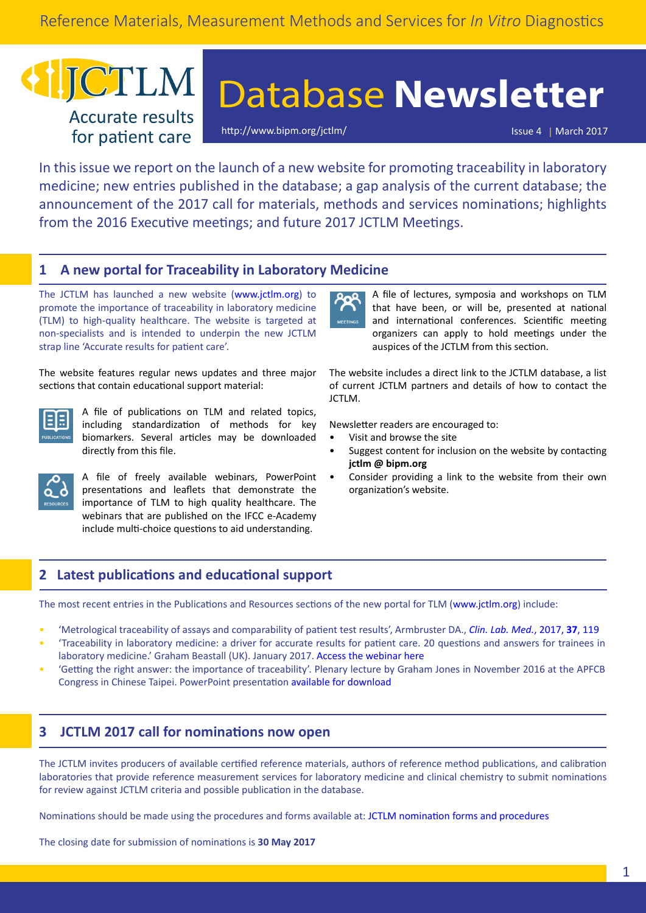# ICTLM **Accurate results** for patient care

# Database **Newsletter**

<http://www.bipm.org/jctlm/> Issue 4 | March 2017

In this issue we report on the launch of a new website for promoting traceability in laboratory medicine; new entries published in the database; a gap analysis of the current database; the announcement of the 2017 call for materials, methods and services nominations; highlights from the 2016 Executive meetings; and future 2017 JCTLM Meetings.

# **1 A new portal for Traceability in Laboratory Medicine**

The JCTLM has launched a new website (www.jctlm.org) to promote the importance of traceability in laboratory medicine (TLM) to high-quality healthcare. The website is targeted at non‑specialists and is intended to underpin the new JCTLM strap line 'Accurate results for patient care'.

The website features regular news updates and three major sections that contain educational support material:



A file of publications on TLM and related topics, including standardization of methods for key biomarkers. Several articles may be downloaded directly from this file.



A file of freely available webinars, PowerPoint presentations and leaflets that demonstrate the importance of TLM to high quality healthcare. The webinars that are published on the IFCC e-Academy include multi-choice questions to aid understanding.



A file of lectures, symposia and workshops on TLM that have been, or will be, presented at national and international conferences. Scientific meeting organizers can apply to hold meetings under the auspices of the JCTLM from this section.

The website includes a direct link to the JCTLM database, a list of current JCTLM partners and details of how to contact the JCTLM.

Newsletter readers are encouraged to:

- Visit and browse the site
- Suggest content for inclusion on the website by contacting **[jctlm @ bipm.org](mailto:jctlm%40bipm.org?subject=)**
- Consider providing a link to the website from their own organization's website.

# **2 Latest publications and educational support**

The most recent entries in the Publications and Resources sections of the new portal for TLM (www.jctlm.org) include:

- 'Metrological traceability of assays and comparability of patient test results', Armbruster DA., *[Clin. Lab. Med.](http://dx.doi.org/10.1016/j.cll.2016.09.010)*, 2017, **37**, 119
- 'Traceability in laboratory medicine: a driver for accurate results for patient care. 20 questions and answers for trainees in laboratory medicine.' Graham Beastall (UK). January 2017. [Access the webinar here](http://eacademy.ifcc.org/topics/other-areas-of-laboratory-medicine/traceability-in-laboratory-medicine/?ctype=1154&cid=1759)
- 'Getting the right answer: the importance of traceability'. Plenary lecture by Graham Jones in November 2016 at the APFCB Congress in Chinese Taipei. PowerPoint presentation [available for download](http://www.jctlm.org/media/1028/3_-the-importance-of-traceability_gj_jun-2015.pdf)

## **3 JCTLM 2017 call for nominations now open**

The JCTLM invites producers of available certified reference materials, authors of reference method publications, and calibration laboratories that provide reference measurement services for laboratory medicine and clinical chemistry to submit nominations for review against JCTLM criteria and possible publication in the database.

Nominations should be made using the procedures and forms available at: [JCTLM nomination forms and procedures](http://www.bipm.org/en/committees/jc/jctlm/jctlm-nominations-and-review.html)

The closing date for submission of nominations is **30 May 2017**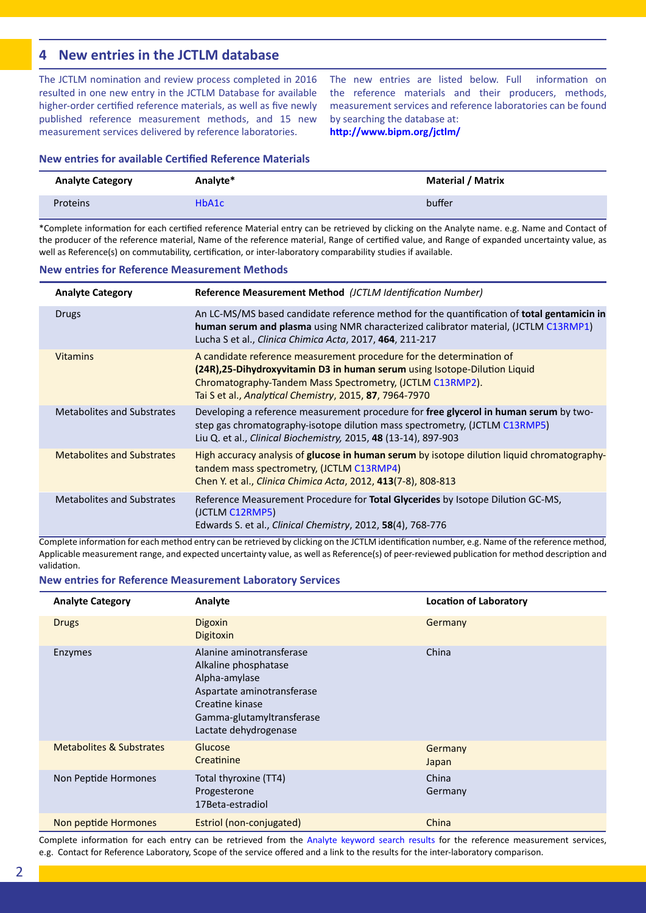# **4 New entries in the JCTLM database**

The JCTLM nomination and review process completed in 2016 resulted in one new entry in the JCTLM Database for available higher-order certified reference materials, as well as five newly published reference measurement methods, and 15 new measurement services delivered by reference laboratories.

The new entries are listed below. Full information on the reference materials and their producers, methods, measurement services and reference laboratories can be found by searching the database at:

**<http://www.bipm.org/jctlm/>**

#### **New entries for available Certified Reference Materials**

| <b>Analyte Category</b> | Analyte* | <b>Material / Matrix</b> |
|-------------------------|----------|--------------------------|
| Proteins                | HbA1c    | buffer                   |

\*Complete information for each certified reference Material entry can be retrieved by clicking on the Analyte name. e.g. Name and Contact of the producer of the reference material, Name of the reference material, Range of certified value, and Range of expanded uncertainty value, as well as Reference(s) on commutability, certification, or inter-laboratory comparability studies if available.

#### **New entries for Reference Measurement Methods**

| <b>Analyte Category</b>           | Reference Measurement Method (JCTLM Identification Number)                                                                                                                                                                                                                 |
|-----------------------------------|----------------------------------------------------------------------------------------------------------------------------------------------------------------------------------------------------------------------------------------------------------------------------|
| Drugs                             | An LC-MS/MS based candidate reference method for the quantification of <b>total gentamicin in</b><br>human serum and plasma using NMR characterized calibrator material, (JCTLM C13RMP1)<br>Lucha S et al., Clinica Chimica Acta, 2017, 464, 211-217                       |
| <b>Vitamins</b>                   | A candidate reference measurement procedure for the determination of<br>(24R), 25-Dihydroxyvitamin D3 in human serum using Isotope-Dilution Liquid<br>Chromatography-Tandem Mass Spectrometry, (JCTLM C13RMP2).<br>Tai S et al., Analytical Chemistry, 2015, 87, 7964-7970 |
| Metabolites and Substrates        | Developing a reference measurement procedure for free glycerol in human serum by two-<br>step gas chromatography-isotope dilution mass spectrometry, (JCTLM C13RMP5)<br>Liu Q. et al., Clinical Biochemistry, 2015, 48 (13-14), 897-903                                    |
| <b>Metabolites and Substrates</b> | High accuracy analysis of <b>glucose in human serum</b> by isotope dilution liquid chromatography-<br>tandem mass spectrometry, (JCTLM C13RMP4)<br>Chen Y. et al., Clinica Chimica Acta, 2012, 413(7-8), 808-813                                                           |
| <b>Metabolites and Substrates</b> | Reference Measurement Procedure for Total Glycerides by Isotope Dilution GC-MS,<br>(JCTLM C12RMP5)<br>Edwards S. et al., <i>Clinical Chemistry</i> , 2012, <b>58</b> (4), 768-776                                                                                          |

Complete information for each method entry can be retrieved by clicking on the JCTLM identification number, e.g. Name of the reference method, Applicable measurement range, and expected uncertainty value, as well as Reference(s) of peer-reviewed publication for method description and validation.

#### **New entries for Reference Measurement Laboratory Services**

| <b>Analyte Category</b>  | Analyte                                                                                                                                                                  | <b>Location of Laboratory</b> |
|--------------------------|--------------------------------------------------------------------------------------------------------------------------------------------------------------------------|-------------------------------|
| <b>Drugs</b>             | <b>Digoxin</b><br>Digitoxin                                                                                                                                              | Germany                       |
| Enzymes                  | Alanine aminotransferase<br>Alkaline phosphatase<br>Alpha-amylase<br>Aspartate aminotransferase<br>Creatine kinase<br>Gamma-glutamyltransferase<br>Lactate dehydrogenase | China                         |
| Metabolites & Substrates | Glucose<br>Creatinine                                                                                                                                                    | Germany<br>Japan              |
| Non Peptide Hormones     | Total thyroxine (TT4)<br>Progesterone<br>17Beta-estradiol                                                                                                                | China<br>Germany              |
| Non peptide Hormones     | Estriol (non-conjugated)                                                                                                                                                 | China                         |

Complete information for each entry can be retrieved from the [Analyte keyword search results](http://www.bipm.org/jctlm/) for the reference measurement services, e.g. Contact for Reference Laboratory, Scope of the service offered and a link to the results for the inter-laboratory comparison.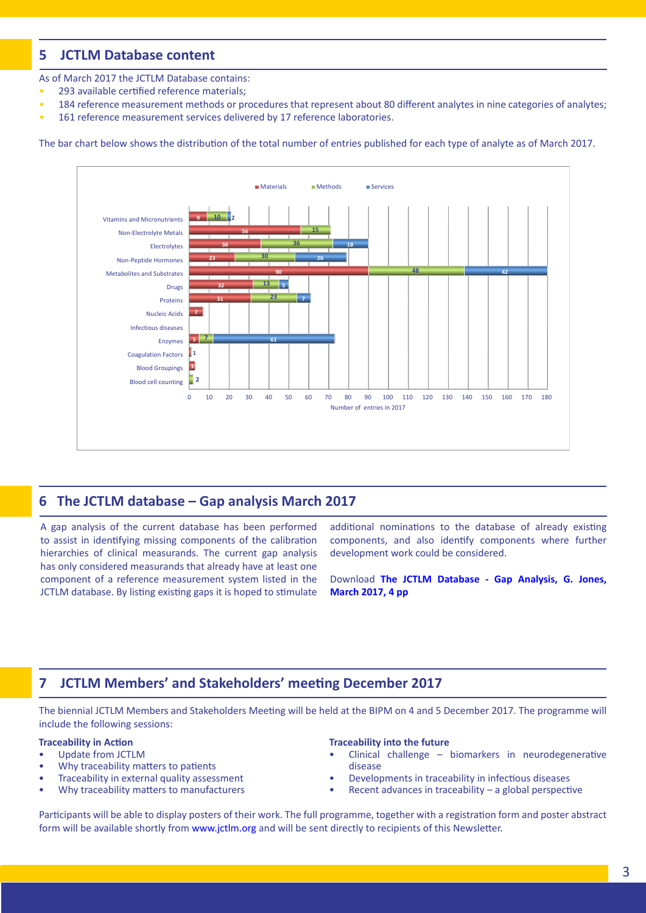# **5 JCTLM Database content**

As of March 2017 the JCTLM Database contains:

- 293 available certified reference materials;
- 184 reference measurement methods or procedures that represent about 80 different analytes in nine categories of analytes;
- 161 reference measurement services delivered by 17 reference laboratories.

The bar chart below shows the distribution of the total number of entries published for each type of analyte as of March 2017.



## **6 The JCTLM database – Gap analysis March 2017**

A gap analysis of the current database has been performed to assist in identifying missing components of the calibration hierarchies of clinical measurands. The current gap analysis has only considered measurands that already have at least one component of a reference measurement system listed in the JCTLM database. By listing existing gaps it is hoped to stimulate additional nominations to the database of already existing components, and also identify components where further development work could be considered.

Download **[The JCTLM Database - Gap Analysis, G. Jones,](http://www.bipm.org/utils/common/pdf/JCTLM/JCTLM_Newsletter_2017_Special_Report.pdf) [March 2017, 4 pp](http://www.bipm.org/utils/common/pdf/JCTLM/JCTLM_Newsletter_2017_Special_Report.pdf)**

# **7 JCTLM Members' and Stakeholders' meeting December 2017**

The biennial JCTLM Members and Stakeholders Meeting will be held at the BIPM on 4 and 5 December 2017. The programme will include the following sessions:

#### **Traceability in Action**

- Update from JCTLM
- Why traceability matters to patients
- Traceability in external quality assessment
- Why traceability matters to manufacturers

#### **Traceability into the future**

- Clinical challenge biomarkers in neurodegenerative disease
- Developments in traceability in infectious diseases
- Recent advances in traceability  $-$  a global perspective

Participants will be able to display posters of their work. The full programme, together with a registration form and poster abstract form will be available shortly from [www.jctlm.org](http://www.jctlm.org) and will be sent directly to recipients of this Newsletter.